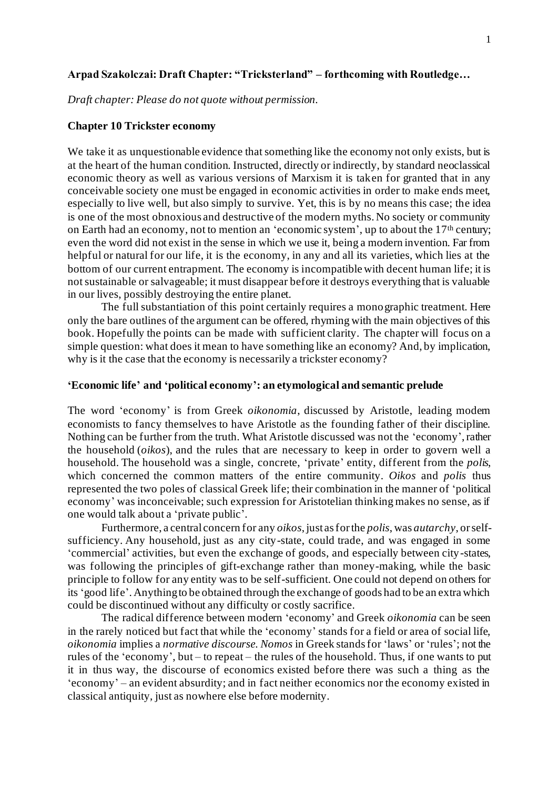### **Arpad Szakolczai: Draft Chapter: "Tricksterland" – forthcoming with Routledge…**

*Draft chapter: Please do not quote without permission.*

### **Chapter 10 Trickster economy**

We take it as unquestionable evidence that something like the economy not only exists, but is at the heart of the human condition. Instructed, directly or indirectly, by standard neoclassical economic theory as well as various versions of Marxism it is taken for granted that in any conceivable society one must be engaged in economic activities in order to make ends meet, especially to live well, but also simply to survive. Yet, this is by no means this case; the idea is one of the most obnoxious and destructive of the modern myths. No society or community on Earth had an economy, not to mention an 'economic system', up to about the  $17<sup>th</sup>$  century; even the word did not exist in the sense in which we use it, being a modern invention. Far from helpful or natural for our life, it is the economy, in any and all its varieties, which lies at the bottom of our current entrapment. The economy is incompatible with decent human life; it is not sustainable or salvageable; it must disappear before it destroys everything that is valuable in our lives, possibly destroying the entire planet.

The full substantiation of this point certainly requires a monographic treatment. Here only the bare outlines of the argument can be offered, rhyming with the main objectives of this book. Hopefully the points can be made with sufficient clarity. The chapter will focus on a simple question: what does it mean to have something like an economy? And, by implication, why is it the case that the economy is necessarily a trickster economy?

## **'Economic life' and 'political economy': an etymological and semantic prelude**

The word 'economy' is from Greek *oikonomia*, discussed by Aristotle, leading modern economists to fancy themselves to have Aristotle as the founding father of their discipline. Nothing can be further from the truth. What Aristotle discussed was not the 'economy', rather the household (*oikos*), and the rules that are necessary to keep in order to govern well a household. The household was a single, concrete, 'private' entity, different from the *polis*, which concerned the common matters of the entire community. *Oikos* and *polis* thus represented the two poles of classical Greek life; their combination in the manner of 'political economy' was inconceivable; such expression for Aristotelian thinking makes no sense, as if one would talk about a 'private public'.

Furthermore, a central concern for any *oikos*, just as for the *polis*, was *autarchy*, or selfsufficiency. Any household, just as any city-state, could trade, and was engaged in some 'commercial' activities, but even the exchange of goods, and especially between city-states, was following the principles of gift-exchange rather than money-making, while the basic principle to follow for any entity was to be self-sufficient. One could not depend on others for its 'good life'. Anything to be obtained through the exchange of goods had to be an extra which could be discontinued without any difficulty or costly sacrifice.

The radical difference between modern 'economy' and Greek *oikonomia* can be seen in the rarely noticed but fact that while the 'economy' stands for a field or area of social life, *oikonomia* implies a *normative discourse*. *Nomos* in Greek stands for 'laws' or 'rules'; not the rules of the 'economy', but – to repeat – the rules of the household. Thus, if one wants to put it in thus way, the discourse of economics existed before there was such a thing as the 'economy' – an evident absurdity; and in fact neither economics nor the economy existed in classical antiquity, just as nowhere else before modernity.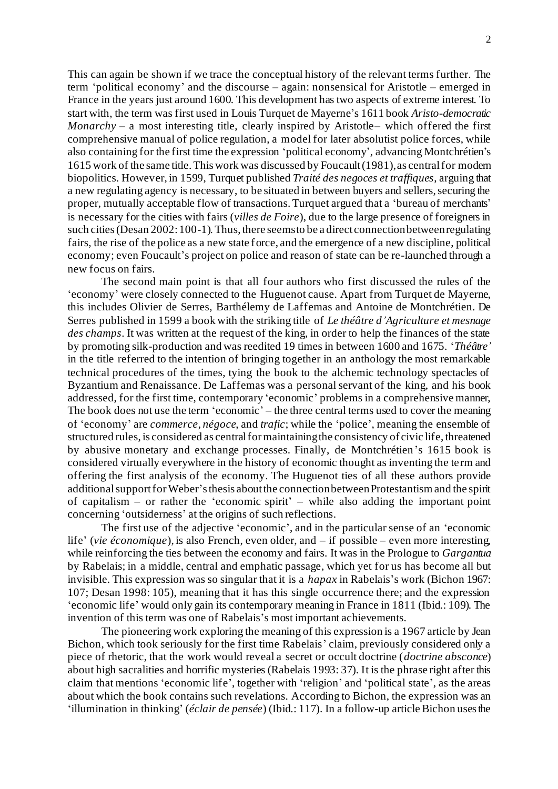This can again be shown if we trace the conceptual history of the relevant terms further. The term 'political economy' and the discourse – again: nonsensical for Aristotle – emerged in France in the years just around 1600. This development has two aspects of extreme interest. To start with, the term was first used in Louis Turquet de Mayerne's 1611 book *Aristo-democratic Monarchy* – a most interesting title, clearly inspired by Aristotle– which offered the first comprehensive manual of police regulation, a model for later absolutist police forces, while also containing for the first time the expression 'political economy', advancing Montchrétien's 1615 work of the same title. This work was discussed by Foucault (1981), as central for modern biopolitics. However, in 1599, Turquet published *Traité des negoces et traffiques*, arguing that a new regulating agency is necessary, to be situated in between buyers and sellers, securing the proper, mutually acceptable flow of transactions. Turquet argued that a 'bureau of merchants' is necessary for the cities with fairs (*villes de Foire*), due to the large presence of foreigners in such cities (Desan 2002: 100-1). Thus, there seems to be a direct connection between regulating fairs, the rise of the police as a new state force, and the emergence of a new discipline, political economy; even Foucault's project on police and reason of state can be re-launched through a new focus on fairs.

The second main point is that all four authors who first discussed the rules of the 'economy' were closely connected to the Huguenot cause. Apart from Turquet de Mayerne, this includes Olivier de Serres, Barthélemy de Laffemas and Antoine de Montchrétien. De Serres published in 1599 a book with the striking title of *Le théâtre d'Agriculture et mesnage des champs*. It was written at the request of the king, in order to help the finances of the state by promoting silk-production and was reedited 19 times in between 1600 and 1675. '*Théâtre'* in the title referred to the intention of bringing together in an anthology the most remarkable technical procedures of the times, tying the book to the alchemic technology spectacles of Byzantium and Renaissance. De Laffemas was a personal servant of the king, and his book addressed, for the first time, contemporary 'economic' problems in a comprehensive manner, The book does not use the term 'economic' – the three central terms used to cover the meaning of 'economy' are *commerce*, *négoce*, and *trafic*; while the 'police', meaning the ensemble of structured rules, is considered as central for maintaining the consistency of civic life, threatened by abusive monetary and exchange processes. Finally, de Montchrétien's 1615 book is considered virtually everywhere in the history of economic thought as inventing the te rm and offering the first analysis of the economy. The Huguenot ties of all these authors provide additionalsupport for Weber'sthesis about the connection between Protestantism and the spirit of capitalism – or rather the 'economic spirit' – while also adding the important point concerning 'outsiderness' at the origins of such reflections.

The first use of the adjective 'economic', and in the particular sense of an 'economic life' (*vie économique*), is also French, even older, and – if possible – even more interesting, while reinforcing the ties between the economy and fairs. It was in the Prologue to *Gargantua* by Rabelais; in a middle, central and emphatic passage, which yet for us has become all but invisible. This expression was so singular that it is a *hapax* in Rabelais's work (Bichon 1967: 107; Desan 1998: 105), meaning that it has this single occurrence there; and the expression 'economic life' would only gain its contemporary meaning in France in 1811 (Ibid.: 109). The invention of this term was one of Rabelais's most important achievements.

The pioneering work exploring the meaning of this expression is a 1967 article by Jean Bichon, which took seriously for the first time Rabelais' claim, previously considered only a piece of rhetoric, that the work would reveal a secret or occult doctrine (*doctrine absconce*) about high sacralities and horrific mysteries (Rabelais 1993: 37). It is the phrase right after this claim that mentions 'economic life', together with 'religion' and 'political state', as the areas about which the book contains such revelations. According to Bichon, the expression was an 'illumination in thinking' (*éclair de pensée*) (Ibid.: 117). In a follow-up articleBichon uses the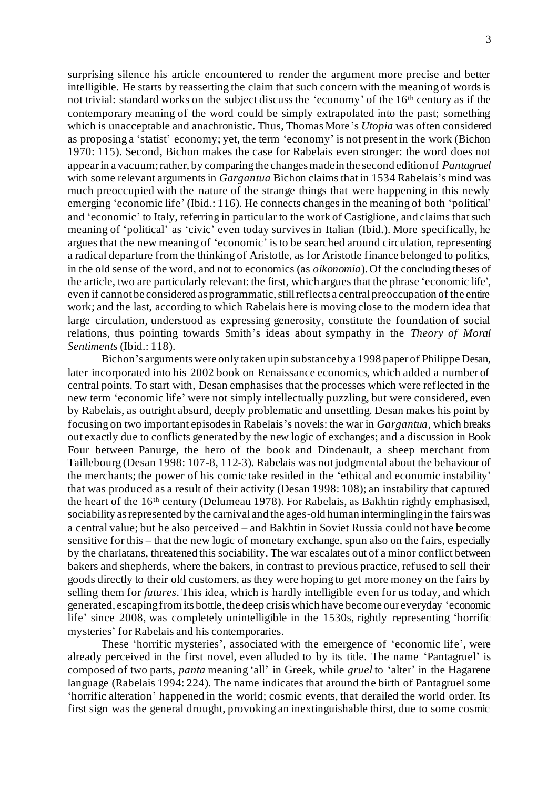surprising silence his article encountered to render the argument more precise and better intelligible. He starts by reasserting the claim that such concern with the meaning of words is not trivial: standard works on the subject discuss the 'economy' of the 16<sup>th</sup> century as if the contemporary meaning of the word could be simply extrapolated into the past; something which is unacceptable and anachronistic. Thus, Thomas More's *Utopia* was often considered as proposing a 'statist' economy; yet, the term 'economy' is not present in the work (Bichon 1970: 115). Second, Bichon makes the case for Rabelais even stronger: the word does not appear in a vacuum; rather, by comparing the changes made in the second edition of *Pantagruel* with some relevant arguments in *Gargantua* Bichon claims that in 1534 Rabelais's mind was much preoccupied with the nature of the strange things that were happening in this newly emerging 'economic life' (Ibid.: 116). He connects changes in the meaning of both 'political' and 'economic' to Italy, referring in particular to the work of Castiglione, and claims that such meaning of 'political' as 'civic' even today survives in Italian (Ibid.). More specifically, he argues that the new meaning of 'economic' is to be searched around circulation, representing a radical departure from the thinking of Aristotle, as for Aristotle finance belonged to politics, in the old sense of the word, and not to economics (as *oikonomia*). Of the concluding theses of the article, two are particularly relevant: the first, which argues that the phrase 'economic life', even if cannot be considered as programmatic, still reflects a central preoccupation of the entire work; and the last, according to which Rabelais here is moving close to the modern idea that large circulation, understood as expressing generosity, constitute the foundation of social relations, thus pointing towards Smith's ideas about sympathy in the *Theory of Moral Sentiments* (Ibid.: 118).

Bichon's arguments were only taken up in substance by a 1998 paper of Philippe Desan, later incorporated into his 2002 book on Renaissance economics, which added a number of central points. To start with, Desan emphasises that the processes which were reflected in the new term 'economic life' were not simply intellectually puzzling, but were considered, even by Rabelais, as outright absurd, deeply problematic and unsettling. Desan makes his point by focusing on two important episodes in Rabelais's novels: the war in *Gargantua*, which breaks out exactly due to conflicts generated by the new logic of exchanges; and a discussion in Book Four between Panurge, the hero of the book and Dindenault, a sheep merchant from Taillebourg (Desan 1998: 107-8, 112-3). Rabelais was not judgmental about the behaviour of the merchants; the power of his comic take resided in the 'ethical and economic instability' that was produced as a result of their activity (Desan 1998: 108); an instability that captured the heart of the 16th century (Delumeau 1978). For Rabelais, as Bakhtin rightly emphasised, sociability as represented by the carnival and the ages-old human intermingling in the fairs was a central value; but he also perceived – and Bakhtin in Soviet Russia could not have become sensitive for this – that the new logic of monetary exchange, spun also on the fairs, especially by the charlatans, threatened this sociability. The war escalates out of a minor conflict between bakers and shepherds, where the bakers, in contrast to previous practice, refused to sell their goods directly to their old customers, as they were hoping to get more money on the fairs by selling them for *futures*. This idea, which is hardly intelligible even for us today, and which generated, escaping from its bottle, the deep crisis which have become our everyday 'economic life' since 2008, was completely unintelligible in the 1530s, rightly representing 'horrific mysteries' for Rabelais and his contemporaries.

These 'horrific mysteries', associated with the emergence of 'economic life', were already perceived in the first novel, even alluded to by its title. The name 'Pantagruel' is composed of two parts, *panta* meaning 'all' in Greek, while *gruel* to 'alter' in the Hagarene language (Rabelais 1994: 224). The name indicates that around the birth of Pantagruel some 'horrific alteration' happened in the world; cosmic events, that derailed the world order. Its first sign was the general drought, provoking an inextinguishable thirst, due to some cosmic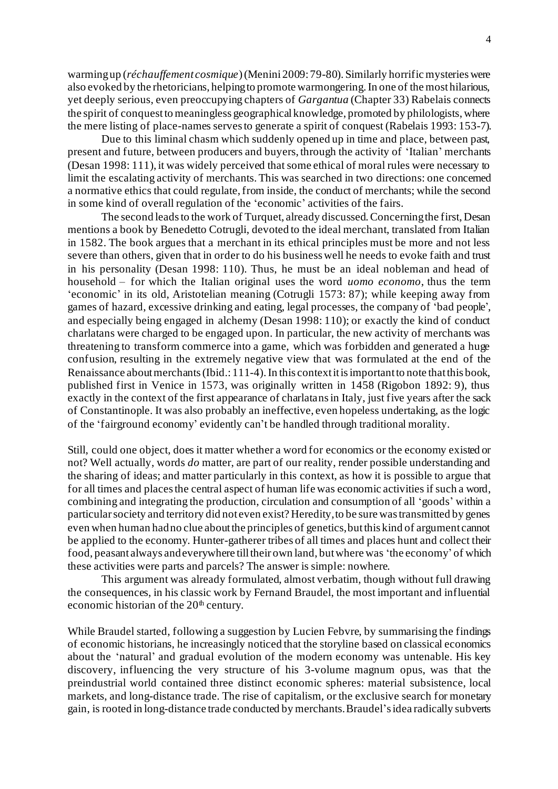warming up (*réchauffement cosmique*) (Menini 2009: 79-80). Similarly horrific mysteries were also evoked by the rhetoricians, helping to promote warmongering. In one of the most hilarious, yet deeply serious, even preoccupying chapters of *Gargantua* (Chapter 33) Rabelais connects the spirit of conquest to meaningless geographical knowledge, promoted by philologists, where the mere listing of place-names serves to generate a spirit of conquest (Rabelais 1993: 153-7).

Due to this liminal chasm which suddenly opened up in time and place, between past, present and future, between producers and buyers, through the activity of 'Italian' merchants (Desan 1998: 111), it was widely perceived that some ethical of moral rules were necessary to limit the escalating activity of merchants. This was searched in two directions: one concerned a normative ethics that could regulate, from inside, the conduct of merchants; while the second in some kind of overall regulation of the 'economic' activities of the fairs.

The second leads to the work of Turquet, already discussed. Concerning the first, Desan mentions a book by Benedetto Cotrugli, devoted to the ideal merchant, translated from Italian in 1582. The book argues that a merchant in its ethical principles must be more and not less severe than others, given that in order to do his business well he needs to evoke faith and trust in his personality (Desan 1998: 110). Thus, he must be an ideal nobleman and head of household – for which the Italian original uses the word *uomo economo*, thus the term 'economic' in its old, Aristotelian meaning (Cotrugli 1573: 87); while keeping away from games of hazard, excessive drinking and eating, legal processes, the company of 'bad people', and especially being engaged in alchemy (Desan 1998: 110); or exactly the kind of conduct charlatans were charged to be engaged upon. In particular, the new activity of merchants was threatening to transform commerce into a game, which was forbidden and generated a huge confusion, resulting in the extremely negative view that was formulated at the end of the Renaissance about merchants (Ibid.: 111-4). In this context it is important to note that this book, published first in Venice in 1573, was originally written in 1458 (Rigobon 1892: 9), thus exactly in the context of the first appearance of charlatans in Italy, just five years after the sack of Constantinople. It was also probably an ineffective, even hopeless undertaking, as the logic of the 'fairground economy' evidently can't be handled through traditional morality.

Still, could one object, does it matter whether a word for economics or the economy existed or not? Well actually, words *do* matter, are part of our reality, render possible understanding and the sharing of ideas; and matter particularly in this context, as how it is possible to argue that for all times and places the central aspect of human life was economic activities if such a word, combining and integrating the production, circulation and consumption of all 'goods' within a particular society and territory did not even exist? Heredity, to be sure was transmitted by genes even when human had no clue about the principles of genetics, but this kind of argument cannot be applied to the economy. Hunter-gatherer tribes of all times and places hunt and collect their food, peasant always and everywhere till their own land, but where was 'the economy' of which these activities were parts and parcels? The answer is simple: nowhere.

This argument was already formulated, almost verbatim, though without full drawing the consequences, in his classic work by Fernand Braudel, the most important and influential economic historian of the  $20<sup>th</sup>$  century.

While Braudel started, following a suggestion by Lucien Febvre, by summarising the findings of economic historians, he increasingly noticed that the storyline based on classical economics about the 'natural' and gradual evolution of the modern economy was untenable. His key discovery, influencing the very structure of his 3-volume magnum opus, was that the preindustrial world contained three distinct economic spheres: material subsistence, local markets, and long-distance trade. The rise of capitalism, or the exclusive search for monetary gain, is rooted in long-distance trade conducted by merchants.Braudel'sidea radically subverts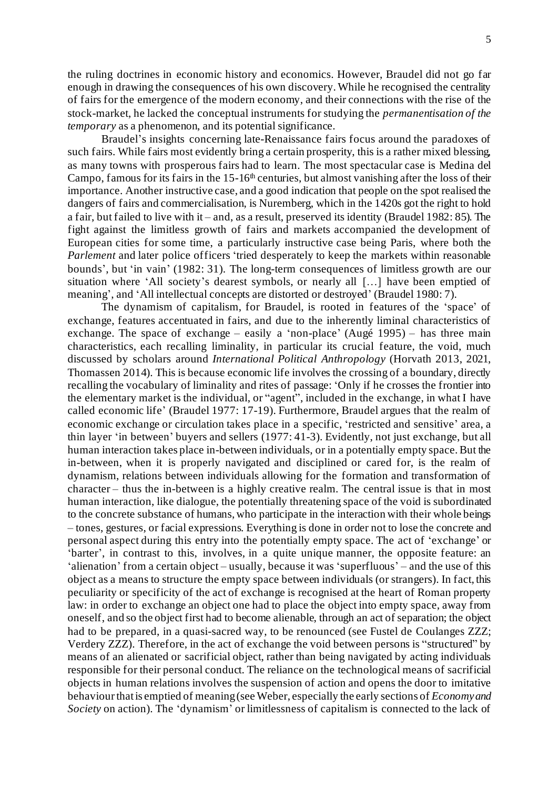the ruling doctrines in economic history and economics. However, Braudel did not go far enough in drawing the consequences of his own discovery. While he recognised the centrality of fairs for the emergence of the modern economy, and their connections with the rise of the stock-market, he lacked the conceptual instruments for studying the *permanentisation of the temporary* as a phenomenon, and its potential significance.

Braudel's insights concerning late-Renaissance fairs focus around the paradoxes of such fairs. While fairs most evidently bring a certain prosperity, this is a rather mixed blessing, as many towns with prosperous fairs had to learn. The most spectacular case is Medina del Campo, famous for its fairs in the  $15$ -16<sup>th</sup> centuries, but almost vanishing after the loss of their importance. Another instructive case, and a good indication that people on the spot realised the dangers of fairs and commercialisation, is Nuremberg, which in the 1420s got the right to hold a fair, but failed to live with it – and, as a result, preserved its identity (Braudel 1982: 85). The fight against the limitless growth of fairs and markets accompanied the development of European cities for some time, a particularly instructive case being Paris, where both the *Parlement* and later police officers 'tried desperately to keep the markets within reasonable bounds', but 'in vain' (1982: 31). The long-term consequences of limitless growth are our situation where 'All society's dearest symbols, or nearly all […] have been emptied of meaning', and 'All intellectual concepts are distorted or destroyed' (Braudel 1980: 7).

The dynamism of capitalism, for Braudel, is rooted in features of the 'space' of exchange, features accentuated in fairs, and due to the inherently liminal characteristics of exchange. The space of exchange – easily a 'non-place' (Augé 1995) – has three main characteristics, each recalling liminality, in particular its crucial feature, the void, much discussed by scholars around *International Political Anthropology* (Horvath 2013, 2021, Thomassen 2014). This is because economic life involves the crossing of a boundary, directly recalling the vocabulary of liminality and rites of passage: 'Only if he crosses the frontier into the elementary market is the individual, or "agent", included in the exchange, in what I have called economic life' (Braudel 1977: 17-19). Furthermore, Braudel argues that the realm of economic exchange or circulation takes place in a specific, 'restricted and sensitive' area, a thin layer 'in between' buyers and sellers (1977: 41-3). Evidently, not just exchange, but all human interaction takes place in-between individuals, or in a potentially empty space. But the in-between, when it is properly navigated and disciplined or cared for, is the realm of dynamism, relations between individuals allowing for the formation and transformation of character – thus the in-between is a highly creative realm. The central issue is that in most human interaction, like dialogue, the potentially threatening space of the void is subordinated to the concrete substance of humans, who participate in the interaction with their whole beings – tones, gestures, or facial expressions. Everything is done in order not to lose the concrete and personal aspect during this entry into the potentially empty space. The act of 'exchange' or 'barter', in contrast to this, involves, in a quite unique manner, the opposite feature: an 'alienation' from a certain object – usually, because it was 'superfluous' – and the use of this object as a means to structure the empty space between individuals (or strangers). In fact, this peculiarity or specificity of the act of exchange is recognised at the heart of Roman property law: in order to exchange an object one had to place the object into empty space, away from oneself, and so the object first had to become alienable, through an act of separation; the object had to be prepared, in a quasi-sacred way, to be renounced (see Fustel de Coulanges ZZZ; Verdery ZZZ). Therefore, in the act of exchange the void between persons is "structured" by means of an alienated or sacrificial object, rather than being navigated by acting individuals responsible for their personal conduct. The reliance on the technological means of sacrificial objects in human relations involves the suspension of action and opens the door to imitative behaviourthatis emptied of meaning(see Weber, especially the early sections of *Economyand Society* on action). The 'dynamism' or limitlessness of capitalism is connected to the lack of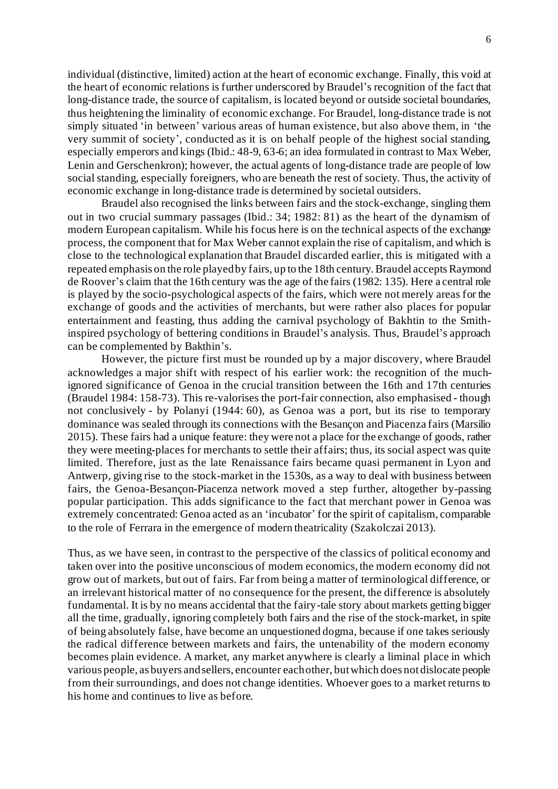individual (distinctive, limited) action at the heart of economic exchange. Finally, this void at the heart of economic relations is further underscored by Braudel's recognition of the fact that long-distance trade, the source of capitalism, is located beyond or outside societal boundaries, thus heightening the liminality of economic exchange. For Braudel, long-distance trade is not simply situated 'in between' various areas of human existence, but also above them, in 'the very summit of society', conducted as it is on behalf people of the highest social standing, especially emperors and kings (Ibid.: 48-9, 63-6; an idea formulated in contrast to Max Weber, Lenin and Gerschenkron); however, the actual agents of long-distance trade are people of low social standing, especially foreigners, who are beneath the rest of society. Thus, the activity of economic exchange in long-distance trade is determined by societal outsiders.

Braudel also recognised the links between fairs and the stock-exchange, singling them out in two crucial summary passages (Ibid.: 34; 1982: 81) as the heart of the dynamism of modern European capitalism. While his focus here is on the technical aspects of the exchange process, the component that for Max Weber cannot explain the rise of capitalism, and which is close to the technological explanation that Braudel discarded earlier, this is mitigated with a repeated emphasis on the role played by fairs, up to the 18th century. Braudel accepts Raymond de Roover's claim that the 16th century was the age of the fairs (1982: 135). Here a central role is played by the socio-psychological aspects of the fairs, which were not merely areas for the exchange of goods and the activities of merchants, but were rather also places for popular entertainment and feasting, thus adding the carnival psychology of Bakhtin to the Smithinspired psychology of bettering conditions in Braudel's analysis. Thus, Braudel's approach can be complemented by Bakthin's.

However, the picture first must be rounded up by a major discovery, where Braudel acknowledges a major shift with respect of his earlier work: the recognition of the muchignored significance of Genoa in the crucial transition between the 16th and 17th centuries (Braudel 1984: 158-73). This re-valorises the port-fair connection, also emphasised - though not conclusively - by Polanyi (1944: 60), as Genoa was a port, but its rise to temporary dominance was sealed through its connections with the Besançon and Piacenza fairs (Marsilio 2015). These fairs had a unique feature: they were not a place for the exchange of goods, rather they were meeting-places for merchants to settle their affairs; thus, its social aspect was quite limited. Therefore, just as the late Renaissance fairs became quasi permanent in Lyon and Antwerp, giving rise to the stock-market in the 1530s, as a way to deal with business between fairs, the Genoa-Besançon-Piacenza network moved a step further, altogether by-passing popular participation. This adds significance to the fact that merchant power in Genoa was extremely concentrated: Genoa acted as an 'incubator' for the spirit of capitalism, comparable to the role of Ferrara in the emergence of modern theatricality (Szakolczai 2013).

Thus, as we have seen, in contrast to the perspective of the classics of political economy and taken over into the positive unconscious of modern economics, the modern economy did not grow out of markets, but out of fairs. Far from being a matter of terminological difference, or an irrelevant historical matter of no consequence for the present, the difference is absolutely fundamental. It is by no means accidental that the fairy-tale story about markets getting bigger all the time, gradually, ignoring completely both fairs and the rise of the stock-market, in spite of being absolutely false, have become an unquestioned dogma, because if one takes seriously the radical difference between markets and fairs, the untenability of the modern economy becomes plain evidence. A market, any market anywhere is clearly a liminal place in which various people, as buyers and sellers, encounter each other, but which does not dislocate people from their surroundings, and does not change identities. Whoever goes to a market returns to his home and continues to live as before.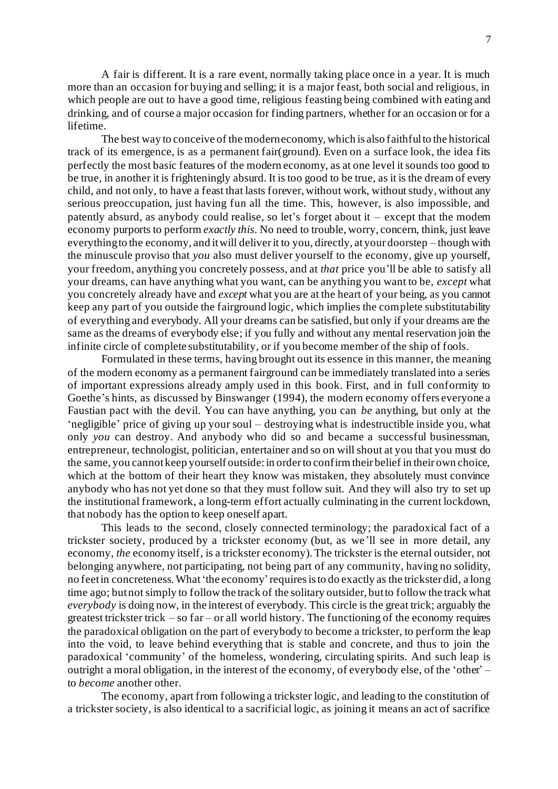A fair is different. It is a rare event, normally taking place once in a year. It is much more than an occasion for buying and selling; it is a major feast, both social and religious, in which people are out to have a good time, religious feasting being combined with eating and drinking, and of course a major occasion for finding partners, whether for an occasion or for a lifetime.

The best way to conceive of the modern economy, which is also faithful to the historical track of its emergence, is as a permanent fair(ground). Even on a surface look, the idea fits perfectly the most basic features of the modern economy, as at one level it sounds too good to be true, in another it is frighteningly absurd. It is too good to be true, as it is the dream of every child, and not only, to have a feast that lasts forever, without work, without study, without any serious preoccupation, just having fun all the time. This, however, is also impossible, and patently absurd, as anybody could realise, so let's forget about it – except that the modern economy purports to perform *exactly this*. No need to trouble, worry, concern, think, just leave everything to the economy, and it will deliver it to you, directly, at your doorstep – though with the minuscule proviso that *you* also must deliver yourself to the economy, give up yourself, your freedom, anything you concretely possess, and at *that* price you'll be able to satisfy all your dreams, can have anything what you want, can be anything you want to be, *except* what you concretely already have and *except* what you are at the heart of your being, as you cannot keep any part of you outside the fairground logic, which implies the complete substitutability of everything and everybody. All your dreams can be satisfied, but only if your dreams are the same as the dreams of everybody else; if you fully and without any mental reservation join the infinite circle of complete substitutability, or if you become member of the ship of fools.

Formulated in these terms, having brought out its essence in this manner, the meaning of the modern economy as a permanent fairground can be immediately translated into a series of important expressions already amply used in this book. First, and in full conformity to Goethe's hints, as discussed by Binswanger (1994), the modern economy offers everyone a Faustian pact with the devil. You can have anything, you can *be* anything, but only at the 'negligible' price of giving up your soul – destroying what is indestructible inside you, what only *you* can destroy. And anybody who did so and became a successful businessman, entrepreneur, technologist, politician, entertainer and so on will shout at you that you must do the same, you cannot keep yourself outside: in order to confirm their belief in their own choice, which at the bottom of their heart they know was mistaken, they absolutely must convince anybody who has not yet done so that they must follow suit. And they will also try to set up the institutional framework, a long-term effort actually culminating in the current lockdown, that nobody has the option to keep oneself apart.

This leads to the second, closely connected terminology; the paradoxical fact of a trickster society, produced by a trickster economy (but, as we'll see in more detail, any economy, *the* economy itself, is a trickster economy). The trickster is the eternal outsider, not belonging anywhere, not participating, not being part of any community, having no solidity, no feet in concreteness. What 'the economy'requires is to do exactly as the trickster did, a long time ago; but not simply to follow the track of the solitary outsider, but to follow the track what *everybody* is doing now, in the interest of everybody. This circle is the great trick; arguably the greatest trickster trick – so far – or all world history. The functioning of the economy requires the paradoxical obligation on the part of everybody to become a trickster, to perform the leap into the void, to leave behind everything that is stable and concrete, and thus to join the paradoxical 'community' of the homeless, wondering, circulating spirits. And such leap is outright a moral obligation, in the interest of the economy, of everybody else, of the 'other' – to *become* another other.

The economy, apart from following a trickster logic, and leading to the constitution of a trickster society, is also identical to a sacrificial logic, as joining it means an act of sacrifice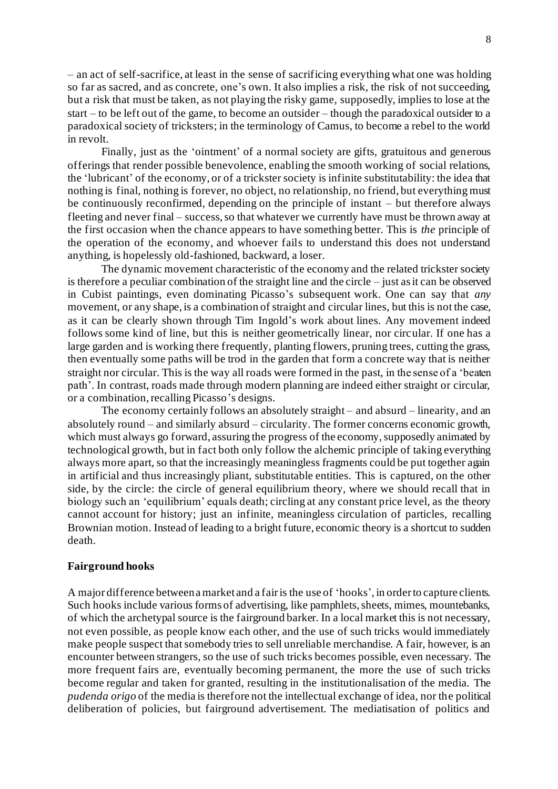– an act of self-sacrifice, at least in the sense of sacrificing everything what one was holding so far as sacred, and as concrete, one's own. It also implies a risk, the risk of not succeeding, but a risk that must be taken, as not playing the risky game, supposedly, implies to lose at the start – to be left out of the game, to become an outsider – though the paradoxical outsider to a paradoxical society of tricksters; in the terminology of Camus, to become a rebel to the world in revolt.

Finally, just as the 'ointment' of a normal society are gifts, gratuitous and generous offerings that render possible benevolence, enabling the smooth working of social relations, the 'lubricant' of the economy, or of a trickster society is infinite substitutability: the idea that nothing is final, nothing is forever, no object, no relationship, no friend, but everything must be continuously reconfirmed, depending on the principle of instant – but therefore always fleeting and never final – success, so that whatever we currently have must be thrown away at the first occasion when the chance appears to have something better. This is *the* principle of the operation of the economy, and whoever fails to understand this does not understand anything, is hopelessly old-fashioned, backward, a loser.

The dynamic movement characteristic of the economy and the related trickster society is therefore a peculiar combination of the straight line and the circle – just as it can be observed in Cubist paintings, even dominating Picasso's subsequent work. One can say that *any* movement, or any shape, is a combination of straight and circular lines, but this is not the case, as it can be clearly shown through Tim Ingold's work about lines. Any movement indeed follows some kind of line, but this is neither geometrically linear, nor circular. If one has a large garden and is working there frequently, planting flowers, pruning trees, cutting the grass, then eventually some paths will be trod in the garden that form a concrete way that is neither straight nor circular. This is the way all roads were formed in the past, in the sense of a 'beaten path'. In contrast, roads made through modern planning are indeed either straight or circular, or a combination, recalling Picasso's designs.

The economy certainly follows an absolutely straight – and absurd – linearity, and an absolutely round – and similarly absurd – circularity. The former concerns economic growth, which must always go forward, assuring the progress of the economy, supposedly animated by technological growth, but in fact both only follow the alchemic principle of taking everything always more apart, so that the increasingly meaningless fragments could be put together again in artificial and thus increasingly pliant, substitutable entities. This is captured, on the other side, by the circle: the circle of general equilibrium theory, where we should recall that in biology such an 'equilibrium' equals death; circling at any constant price level, as the theory cannot account for history; just an infinite, meaningless circulation of particles, recalling Brownian motion. Instead of leading to a bright future, economic theory is a shortcut to sudden death.

#### **Fairground hooks**

A major difference between a market and a fair is the use of 'hooks', in order to capture clients. Such hooks include various forms of advertising, like pamphlets, sheets, mimes, mountebanks, of which the archetypal source is the fairground barker. In a local market this is not necessary, not even possible, as people know each other, and the use of such tricks would immediately make people suspect that somebody tries to sell unreliable merchandise. A fair, however, is an encounter between strangers, so the use of such tricks becomes possible, even necessary. The more frequent fairs are, eventually becoming permanent, the more the use of such tricks become regular and taken for granted, resulting in the institutionalisation of the media. The *pudenda origo* of the media is therefore not the intellectual exchange of idea, nor the political deliberation of policies, but fairground advertisement. The mediatisation of politics and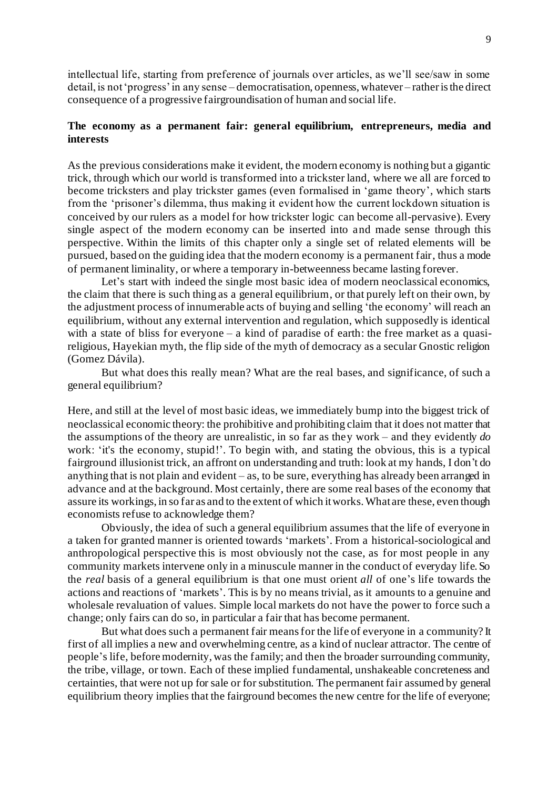intellectual life, starting from preference of journals over articles, as we'll see/saw in some detail, is not 'progress' in any sense – democratisation, openness, whatever – rather is the direct consequence of a progressive fairgroundisation of human and social life.

## **The economy as a permanent fair: general equilibrium, entrepreneurs, media and interests**

As the previous considerations make it evident, the modern economy is nothing but a gigantic trick, through which our world is transformed into a trickster land, where we all are forced to become tricksters and play trickster games (even formalised in 'game theory', which starts from the 'prisoner's dilemma, thus making it evident how the current lockdown situation is conceived by our rulers as a model for how trickster logic can become all-pervasive). Every single aspect of the modern economy can be inserted into and made sense through this perspective. Within the limits of this chapter only a single set of related elements will be pursued, based on the guiding idea that the modern economy is a permanent fair, thus a mode of permanent liminality, or where a temporary in-betweenness became lasting forever.

Let's start with indeed the single most basic idea of modern neoclassical economics, the claim that there is such thing as a general equilibrium, or that purely left on their own, by the adjustment process of innumerable acts of buying and selling 'the economy' will reach an equilibrium, without any external intervention and regulation, which supposedly is identical with a state of bliss for everyone – a kind of paradise of earth: the free market as a quasireligious, Hayekian myth, the flip side of the myth of democracy as a secular Gnostic religion (Gomez Dávila).

But what does this really mean? What are the real bases, and significance, of such a general equilibrium?

Here, and still at the level of most basic ideas, we immediately bump into the biggest trick of neoclassical economic theory: the prohibitive and prohibiting claim that it does not matter that the assumptions of the theory are unrealistic, in so far as they work – and they evidently *do* work: 'it's the economy, stupid!'. To begin with, and stating the obvious, this is a typical fairground illusionist trick, an affront on understanding and truth: look at my hands, I don't do anything that is not plain and evident – as, to be sure, everything has already been arranged in advance and at the background. Most certainly, there are some real bases of the economy that assure its workings, in so far as and to the extent of which it works. What are these, even though economists refuse to acknowledge them?

Obviously, the idea of such a general equilibrium assumes that the life of everyone in a taken for granted manner is oriented towards 'markets'. From a historical-sociological and anthropological perspective this is most obviously not the case, as for most people in any community markets intervene only in a minuscule manner in the conduct of everyday life. So the *real* basis of a general equilibrium is that one must orient *all* of one's life towards the actions and reactions of 'markets'. This is by no means trivial, as it amounts to a genuine and wholesale revaluation of values. Simple local markets do not have the power to force such a change; only fairs can do so, in particular a fair that has become permanent.

But what does such a permanent fair means for the life of everyone in a community? It first of all implies a new and overwhelming centre, as a kind of nuclear attractor. The centre of people's life, before modernity, was the family; and then the broader surrounding community, the tribe, village, or town. Each of these implied fundamental, unshakeable concreteness and certainties, that were not up for sale or for substitution. The permanent fair assumed by general equilibrium theory implies that the fairground becomes the new centre for the life of everyone;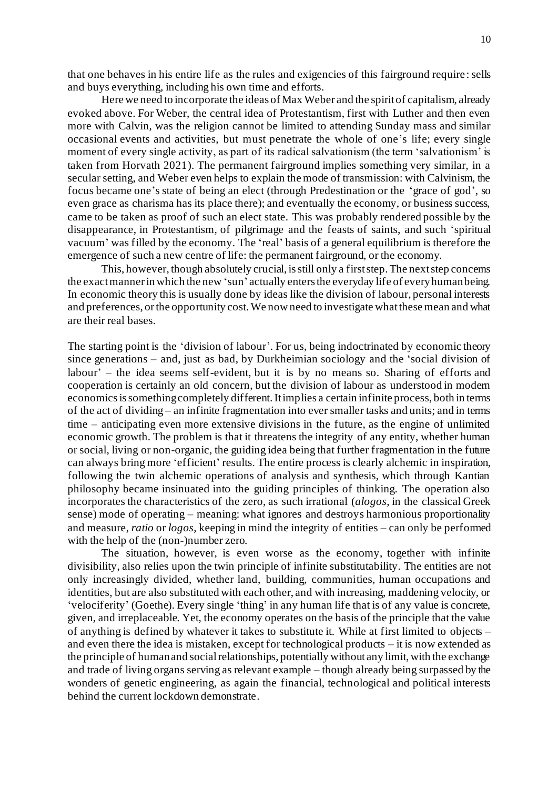that one behaves in his entire life as the rules and exigencies of this fairground require : sells and buys everything, including his own time and efforts.

Here we need to incorporate the ideas of Max Weber and the spirit of capitalism, already evoked above. For Weber, the central idea of Protestantism, first with Luther and then even more with Calvin, was the religion cannot be limited to attending Sunday mass and similar occasional events and activities, but must penetrate the whole of one's life; every single moment of every single activity, as part of its radical salvationism (the term 'salvationism' is taken from Horvath 2021). The permanent fairground implies something very similar, in a secular setting, and Weber even helps to explain the mode of transmission: with Calvinism, the focus became one's state of being an elect (through Predestination or the 'grace of god', so even grace as charisma has its place there); and eventually the economy, or business success, came to be taken as proof of such an elect state. This was probably rendered possible by the disappearance, in Protestantism, of pilgrimage and the feasts of saints, and such 'spiritual vacuum' was filled by the economy. The 'real' basis of a general equilibrium is therefore the emergence of such a new centre of life: the permanent fairground, or the economy.

This, however, though absolutely crucial, is still only a first step. The next step concerns the exact manner in which the new 'sun' actually enters the everyday life of every human being. In economic theory this is usually done by ideas like the division of labour, personal interests and preferences, or the opportunity cost. We now need to investigate what these mean and what are their real bases.

The starting point is the 'division of labour'. For us, being indoctrinated by economic theory since generations – and, just as bad, by Durkheimian sociology and the 'social division of labour' – the idea seems self-evident, but it is by no means so. Sharing of efforts and cooperation is certainly an old concern, but the division of labour as understood in modern economics is something completely different. It implies a certain infinite process, both in terms of the act of dividing – an infinite fragmentation into ever smaller tasks and units; and in terms time – anticipating even more extensive divisions in the future, as the engine of unlimited economic growth. The problem is that it threatens the integrity of any entity, whether human or social, living or non-organic, the guiding idea being that further fragmentation in the future can always bring more 'efficient' results. The entire process is clearly alchemic in inspiration, following the twin alchemic operations of analysis and synthesis, which through Kantian philosophy became insinuated into the guiding principles of thinking. The operation also incorporates the characteristics of the zero, as such irrational (*alogos*, in the classical Greek sense) mode of operating – meaning: what ignores and destroys harmonious proportionality and measure, *ratio* or *logos*, keeping in mind the integrity of entities – can only be performed with the help of the (non-)number zero.

The situation, however, is even worse as the economy, together with infinite divisibility, also relies upon the twin principle of infinite substitutability. The entities are not only increasingly divided, whether land, building, communities, human occupations and identities, but are also substituted with each other, and with increasing, maddening velocity, or 'velociferity' (Goethe). Every single 'thing' in any human life that is of any value is concrete, given, and irreplaceable. Yet, the economy operates on the basis of the principle that the value of anything is defined by whatever it takes to substitute it. While at first limited to objects – and even there the idea is mistaken, except for technological products – it is now extended as the principle of human and social relationships, potentially without any limit, with the exchange and trade of living organs serving as relevant example – though already being surpassed by the wonders of genetic engineering, as again the financial, technological and political interests behind the current lockdown demonstrate.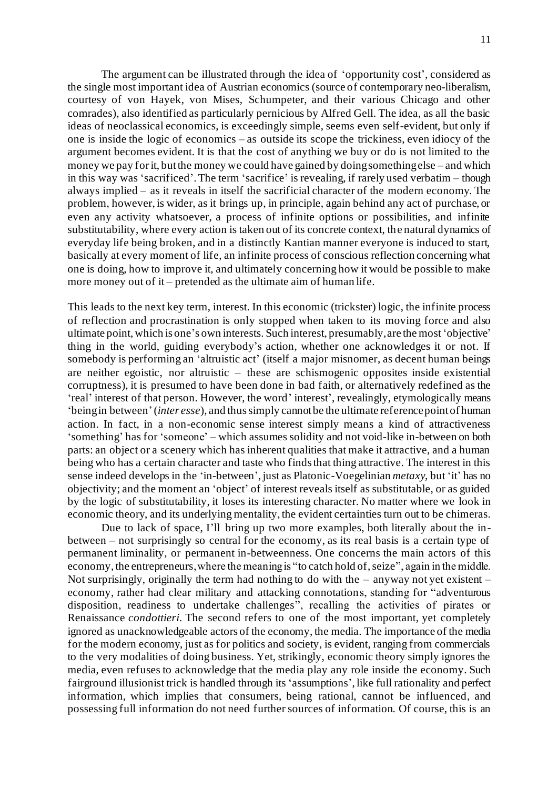The argument can be illustrated through the idea of 'opportunity cost', considered as the single most important idea of Austrian economics (source of contemporary neo-liberalism, courtesy of von Hayek, von Mises, Schumpeter, and their various Chicago and other comrades), also identified as particularly pernicious by Alfred Gell. The idea, as all the basic ideas of neoclassical economics, is exceedingly simple, seems even self-evident, but only if one is inside the logic of economics – as outside its scope the trickiness, even idiocy of the argument becomes evident. It is that the cost of anything we buy or do is not limited to the money we pay for it, but the money we could have gained by doing something else – and which in this way was 'sacrificed'. The term 'sacrifice' is revealing, if rarely used verbatim – though always implied – as it reveals in itself the sacrificial character of the modern economy. The problem, however, is wider, as it brings up, in principle, again behind any act of purchase, or even any activity whatsoever, a process of infinite options or possibilities, and infinite substitutability, where every action is taken out of its concrete context, the natural dynamics of everyday life being broken, and in a distinctly Kantian manner everyone is induced to start, basically at every moment of life, an infinite process of conscious reflection concerning what one is doing, how to improve it, and ultimately concerning how it would be possible to make more money out of it – pretended as the ultimate aim of human life.

This leads to the next key term, interest. In this economic (trickster) logic, the infinite process of reflection and procrastination is only stopped when taken to its moving force and also ultimate point, which is one's own interests. Such interest, presumably, are the most 'objective' thing in the world, guiding everybody's action, whether one acknowledges it or not. If somebody is performing an 'altruistic act' (itself a major misnomer, as decent human beings are neither egoistic, nor altruistic – these are schismogenic opposites inside existential corruptness), it is presumed to have been done in bad faith, or alternatively redefined as the 'real' interest of that person. However, the word' interest', revealingly, etymologically means 'being in between'(*inter esse*), and thus simply cannot be the ultimate reference point of human action. In fact, in a non-economic sense interest simply means a kind of attractiveness 'something' has for 'someone' – which assumes solidity and not void-like in-between on both parts: an object or a scenery which has inherent qualities that make it attractive, and a human being who has a certain character and taste who finds that thing attractive. The interest in this sense indeed develops in the 'in-between', just as Platonic-Voegelinian *metaxy*, but 'it' has no objectivity; and the moment an 'object' of interest reveals itself as substitutable, or as guided by the logic of substitutability, it loses its interesting character. No matter where we look in economic theory, and its underlying mentality, the evident certainties turn out to be chimeras.

Due to lack of space, I'll bring up two more examples, both literally about the inbetween – not surprisingly so central for the economy, as its real basis is a certain type of permanent liminality, or permanent in-betweenness. One concerns the main actors of this economy, the entrepreneurs, where the meaning is "to catch hold of, seize", again in the middle. Not surprisingly, originally the term had nothing to do with the – anyway not yet existent – economy, rather had clear military and attacking connotations, standing for "adventurous disposition, readiness to undertake challenges", recalling the activities of pirates or Renaissance *condottieri*. The second refers to one of the most important, yet completely ignored as unacknowledgeable actors of the economy, the media. The importance of the media for the modern economy, just as for politics and society, is evident, ranging from commercials to the very modalities of doing business. Yet, strikingly, economic theory simply ignores the media, even refuses to acknowledge that the media play any role inside the economy. Such fairground illusionist trick is handled through its 'assumptions', like full rationality and perfect information, which implies that consumers, being rational, cannot be influenced, and possessing full information do not need further sources of information. Of course, this is an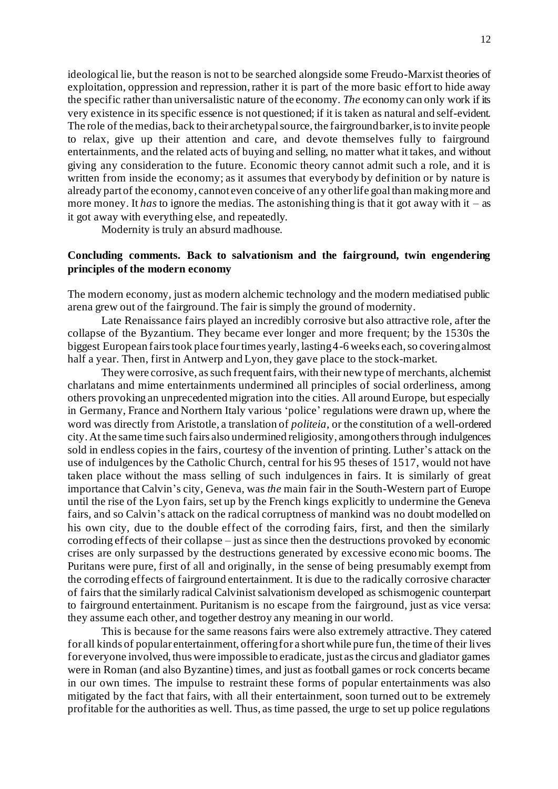ideological lie, but the reason is not to be searched alongside some Freudo-Marxist theories of exploitation, oppression and repression, rather it is part of the more basic effort to hide away the specific rather than universalistic nature of the economy. *The* economy can only work if its very existence in its specific essence is not questioned; if it is taken as natural and self-evident. The role of the medias, back to their archetypal source, the fairground barker, is to invite people to relax, give up their attention and care, and devote themselves fully to fairground entertainments, and the related acts of buying and selling, no matter what it takes, and without giving any consideration to the future. Economic theory cannot admit such a role, and it is written from inside the economy; as it assumes that everybody by definition or by nature is already part of the economy, cannot even conceive of any other life goal than making more and more money. It *has* to ignore the medias. The astonishing thing is that it got away with it – as it got away with everything else, and repeatedly.

Modernity is truly an absurd madhouse.

# **Concluding comments. Back to salvationism and the fairground, twin engendering principles of the modern economy**

The modern economy, just as modern alchemic technology and the modern mediatised public arena grew out of the fairground. The fair is simply the ground of modernity.

Late Renaissance fairs played an incredibly corrosive but also attractive role, after the collapse of the Byzantium. They became ever longer and more frequent; by the 1530s the biggest European fairs took place four times yearly, lasting 4-6 weeks each, so covering almost half a year. Then, first in Antwerp and Lyon, they gave place to the stock-market.

They were corrosive, as such frequent fairs, with their new type of merchants, alchemist charlatans and mime entertainments undermined all principles of social orderliness, among others provoking an unprecedented migration into the cities. All around Europe, but especially in Germany, France and Northern Italy various 'police' regulations were drawn up, where the word was directly from Aristotle, a translation of *politeia*, or the constitution of a well-ordered city. At the same time such fairs also undermined religiosity, among others through indulgences sold in endless copies in the fairs, courtesy of the invention of printing. Luther's attack on the use of indulgences by the Catholic Church, central for his 95 theses of 1517, would not have taken place without the mass selling of such indulgences in fairs. It is similarly of great importance that Calvin's city, Geneva, was *the* main fair in the South-Western part of Europe until the rise of the Lyon fairs, set up by the French kings explicitly to undermine the Geneva fairs, and so Calvin's attack on the radical corruptness of mankind was no doubt modelled on his own city, due to the double effect of the corroding fairs, first, and then the similarly corroding effects of their collapse – just as since then the destructions provoked by economic crises are only surpassed by the destructions generated by excessive economic booms. The Puritans were pure, first of all and originally, in the sense of being presumably exempt from the corroding effects of fairground entertainment. It is due to the radically corrosive character of fairs that the similarly radical Calvinist salvationism developed as schismogenic counterpart to fairground entertainment. Puritanism is no escape from the fairground, just as vice versa: they assume each other, and together destroy any meaning in our world.

This is because for the same reasons fairs were also extremely attractive. They catered for all kinds of popular entertainment, offering for a short while pure fun, the time of their lives for everyone involved, thus were impossible to eradicate, just as the circus and gladiator games were in Roman (and also Byzantine) times, and just as football games or rock concerts became in our own times. The impulse to restraint these forms of popular entertainments was also mitigated by the fact that fairs, with all their entertainment, soon turned out to be extremely profitable for the authorities as well. Thus, as time passed, the urge to set up police regulations